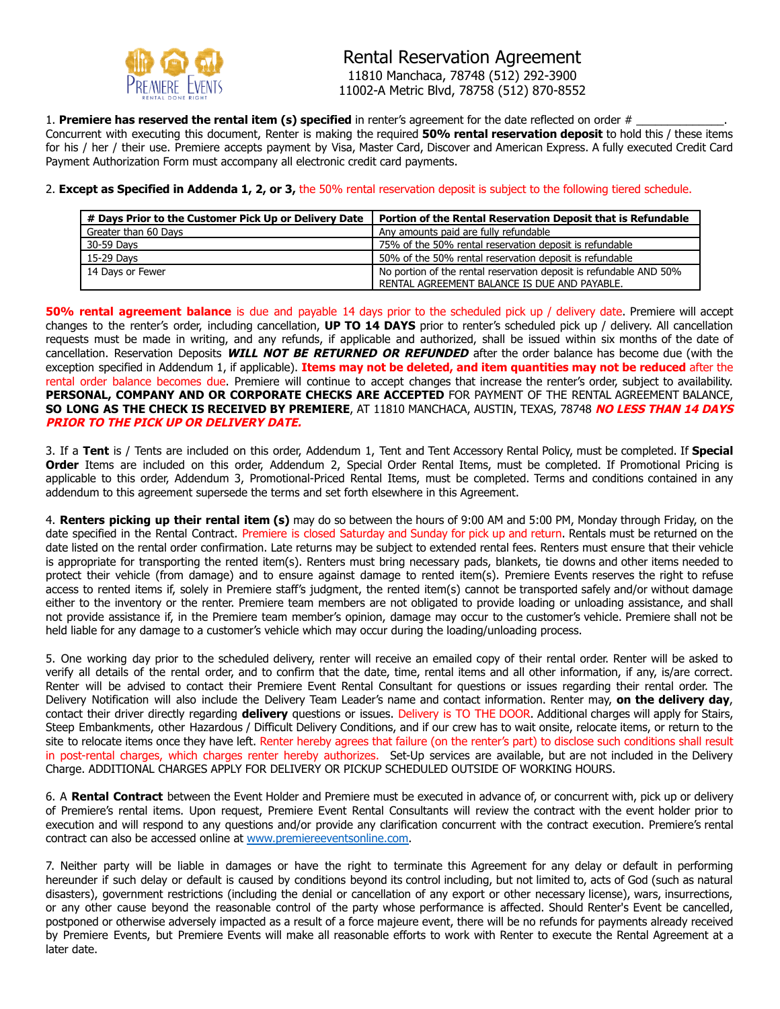

1. **Premiere has reserved the rental item (s) specified** in renter's agreement for the date reflected on order # Concurrent with executing this document, Renter is making the required **50% rental reservation deposit** to hold this / these items for his / her / their use. Premiere accepts payment by Visa, Master Card, Discover and American Express. A fully executed Credit Card Payment Authorization Form must accompany all electronic credit card payments.

## 2. **Except as Specified in Addenda 1, 2, or 3,** the 50% rental reservation deposit is subject to the following tiered schedule.

|                      | # Days Prior to the Customer Pick Up or Delivery Date   Portion of the Rental Reservation Deposit that is Refundable |
|----------------------|----------------------------------------------------------------------------------------------------------------------|
| Greater than 60 Days | Any amounts paid are fully refundable                                                                                |
| 30-59 Days           | 75% of the 50% rental reservation deposit is refundable                                                              |
| 15-29 Davs           | 50% of the 50% rental reservation deposit is refundable                                                              |
| 14 Days or Fewer     | No portion of the rental reservation deposit is refundable AND 50%                                                   |
|                      | RENTAL AGREEMENT BALANCE IS DUE AND PAYABLE.                                                                         |

**50% rental agreement balance** is due and payable 14 days prior to the scheduled pick up / delivery date. Premiere will accept changes to the renter's order, including cancellation, **UP TO 14 DAYS** prior to renter's scheduled pick up / delivery. All cancellation requests must be made in writing, and any refunds, if applicable and authorized, shall be issued within six months of the date of cancellation. Reservation Deposits **WILL NOT BE RETURNED OR REFUNDED** after the order balance has become due (with the exception specified in Addendum 1, if applicable). **Items may not be deleted, and item quantities may not be reduced** after the rental order balance becomes due. Premiere will continue to accept changes that increase the renter's order, subject to availability. **PERSONAL, COMPANY AND OR CORPORATE CHECKS ARE ACCEPTED** FOR PAYMENT OF THE RENTAL AGREEMENT BALANCE, **SO LONG AS THE CHECK IS RECEIVED BY PREMIERE**, AT 11810 MANCHACA, AUSTIN, TEXAS, 78748 **NO LESS THAN 14 DAYS PRIOR TO THE PICK UP OR DELIVERY DATE.**

3. If a **Tent** is / Tents are included on this order, Addendum 1, Tent and Tent Accessory Rental Policy, must be completed. If **Special Order** Items are included on this order, Addendum 2, Special Order Rental Items, must be completed. If Promotional Pricing is applicable to this order, Addendum 3, Promotional-Priced Rental Items, must be completed. Terms and conditions contained in any addendum to this agreement supersede the terms and set forth elsewhere in this Agreement.

4. **Renters picking up their rental item (s)** may do so between the hours of 9:00 AM and 5:00 PM, Monday through Friday, on the date specified in the Rental Contract. Premiere is closed Saturday and Sunday for pick up and return. Rentals must be returned on the date listed on the rental order confirmation. Late returns may be subject to extended rental fees. Renters must ensure that their vehicle is appropriate for transporting the rented item(s). Renters must bring necessary pads, blankets, tie downs and other items needed to protect their vehicle (from damage) and to ensure against damage to rented item(s). Premiere Events reserves the right to refuse access to rented items if, solely in Premiere staff's judgment, the rented item(s) cannot be transported safely and/or without damage either to the inventory or the renter. Premiere team members are not obligated to provide loading or unloading assistance, and shall not provide assistance if, in the Premiere team member's opinion, damage may occur to the customer's vehicle. Premiere shall not be held liable for any damage to a customer's vehicle which may occur during the loading/unloading process.

5. One working day prior to the scheduled delivery, renter will receive an emailed copy of their rental order. Renter will be asked to verify all details of the rental order, and to confirm that the date, time, rental items and all other information, if any, is/are correct. Renter will be advised to contact their Premiere Event Rental Consultant for questions or issues regarding their rental order. The Delivery Notification will also include the Delivery Team Leader's name and contact information. Renter may, **on the delivery day**, contact their driver directly regarding **delivery** questions or issues. Delivery is TO THE DOOR. Additional charges will apply for Stairs, Steep Embankments, other Hazardous / Difficult Delivery Conditions, and if our crew has to wait onsite, relocate items, or return to the site to relocate items once they have left. Renter hereby agrees that failure (on the renter's part) to disclose such conditions shall result in post-rental charges, which charges renter hereby authorizes. Set-Up services are available, but are not included in the Delivery Charge. ADDITIONAL CHARGES APPLY FOR DELIVERY OR PICKUP SCHEDULED OUTSIDE OF WORKING HOURS.

6. A **Rental Contract** between the Event Holder and Premiere must be executed in advance of, or concurrent with, pick up or delivery of Premiere's rental items. Upon request, Premiere Event Rental Consultants will review the contract with the event holder prior to execution and will respond to any questions and/or provide any clarification concurrent with the contract execution. Premiere's rental contract can also be accessed online at [www.premiereeventsonline.com.](http://www.premiereeventsonline.com)

7. Neither party will be liable in damages or have the right to terminate this Agreement for any delay or default in performing hereunder if such delay or default is caused by conditions beyond its control including, but not limited to, acts of God (such as natural disasters), government restrictions (including the denial or cancellation of any export or other necessary license), wars, insurrections, or any other cause beyond the reasonable control of the party whose performance is affected. Should Renter's Event be cancelled, postponed or otherwise adversely impacted as a result of a force majeure event, there will be no refunds for payments already received by Premiere Events, but Premiere Events will make all reasonable efforts to work with Renter to execute the Rental Agreement at a later date.